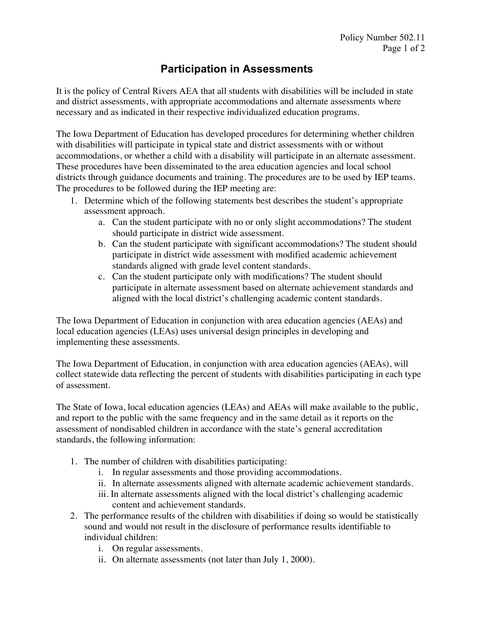## **Participation in Assessments**

It is the policy of Central Rivers AEA that all students with disabilities will be included in state and district assessments, with appropriate accommodations and alternate assessments where necessary and as indicated in their respective individualized education programs.

The Iowa Department of Education has developed procedures for determining whether children with disabilities will participate in typical state and district assessments with or without accommodations, or whether a child with a disability will participate in an alternate assessment. These procedures have been disseminated to the area education agencies and local school districts through guidance documents and training. The procedures are to be used by IEP teams. The procedures to be followed during the IEP meeting are:

- 1. Determine which of the following statements best describes the student's appropriate assessment approach.
	- a. Can the student participate with no or only slight accommodations? The student should participate in district wide assessment.
	- b. Can the student participate with significant accommodations? The student should participate in district wide assessment with modified academic achievement standards aligned with grade level content standards.
	- c. Can the student participate only with modifications? The student should participate in alternate assessment based on alternate achievement standards and aligned with the local district's challenging academic content standards.

The Iowa Department of Education in conjunction with area education agencies (AEAs) and local education agencies (LEAs) uses universal design principles in developing and implementing these assessments.

The Iowa Department of Education, in conjunction with area education agencies (AEAs), will collect statewide data reflecting the percent of students with disabilities participating in each type of assessment.

The State of Iowa, local education agencies (LEAs) and AEAs will make available to the public, and report to the public with the same frequency and in the same detail as it reports on the assessment of nondisabled children in accordance with the state's general accreditation standards, the following information:

- 1. The number of children with disabilities participating:
	- i. In regular assessments and those providing accommodations.
	- ii. In alternate assessments aligned with alternate academic achievement standards.
	- iii. In alternate assessments aligned with the local district's challenging academic content and achievement standards.
- 2. The performance results of the children with disabilities if doing so would be statistically sound and would not result in the disclosure of performance results identifiable to individual children:
	- i. On regular assessments.
	- ii. On alternate assessments (not later than July 1, 2000).